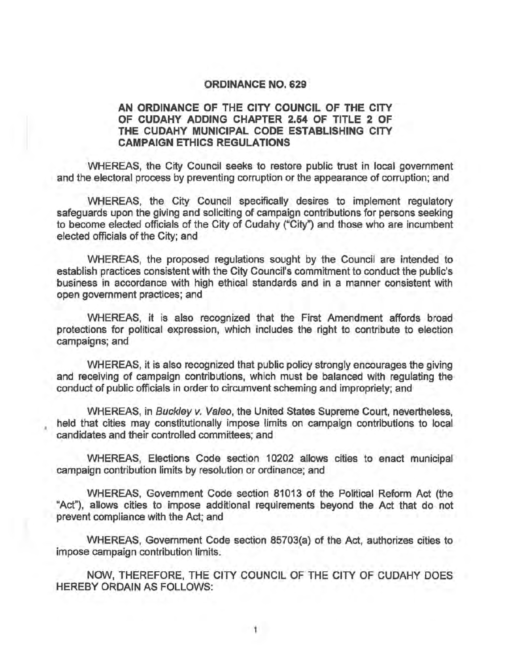## ORDINANCE NO. 629

## AN ORDINANCE OF THE CITY COUNCIL OF THE CITY OF CUDAHY ADDING CHAPTER 2.54 OF TITLE 2 OF THE CUDAHY MUNICIPAL CODE ESTABLISHING CITY CAMPAIGN ETHICS REGULATIONS

WHEREAS, the City Council seeks to restore public trust in local government and the electoral process by preventing corruption or the appearance of corruption; and

WHEREAS, the City Council specifically desires to implement regulatory safeguards upon the giving and soliciting of campaign contributions for persons seeking to become elected officials of the City of Cudahy ("City") and those who are incumbent elected officials of the City; and

WHEREAS, the proposed regulations sought by the Council are intended to establish practices consistent with the City Council's commitment to conduct the public's business in accordance with high ethical standards and in a manner consistent with open government practices; and

WHEREAS, it is also recognized that the First Amendment affords broad protections for political expression, which includes the right to contribute to election campaigns; and

WHEREAS, it is also recognized that public policy strongly encourages the giving and receiving of campaign contributions, which must be balanced with regulating the conduct of public officials in order to circumvent scheming and impropriety; and

WHEREAS, in Buckley v. Va/eo, the United States Supreme Court, nevertheless, held that cities may constitutionally impose limits on campaign contributions to local candidates and their controlled committees; and

WHEREAS, Elections Code section 10202 allows cities to enact municipal campaign contribution limits by resolution or ordinance; and

WHEREAS, Government Code section 81013 of the Political Reform Act (the "Act"), allows cities to impose additional requirements beyond the Act that do not prevent compliance with the Act; and

WHEREAS, Government Code section 85703(a) of the Act, authorizes cities to impose campaign contribution limits.

NOW, THEREFORE, THE CITY COUNCIL OF THE CITY OF CUDAHY DOES HEREBY ORDAIN AS FOLLOWS: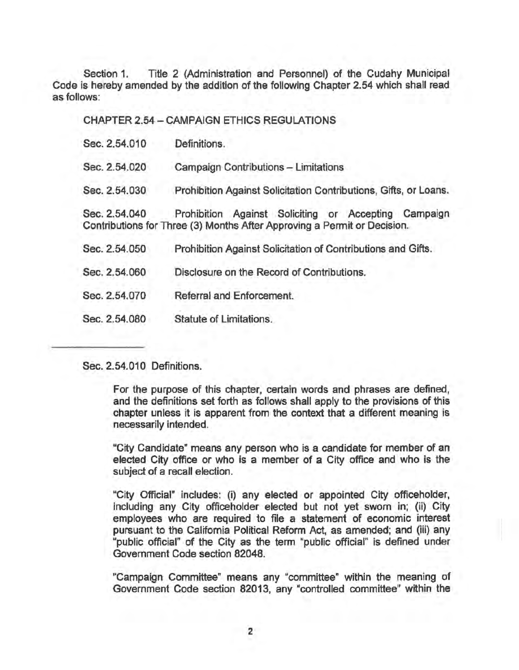Section 1. Title 2 (Administration and Personnel) of the Cudahy Municipal Code is hereby amended by the addition of the following Chapter 2.54 which shall read as follows:

CHAPTER 2.54 - CAMPAIGN ETHICS REGULATIONS Sec. 2.54.010 Definitions. Sec. 2.54.020 Campaign Contributions - Limitations Sec. 2.54.030 Prohibition Against Solicitation Contributions, Gifts, or Loans. Sec. 2.54.040 Prohibition Against SOliciting or Accepting Campaign Contributions for Three (3) Months After Approving a Permit or Decision. Sec. 2.54.050 Prohibition Against Solicitation of Contributions and Gifts. Sec. 2.54.060 Disclosure on the Record of Contributions. Sec. 2.54.070 Referral and Enforcement. Sec. 2.54.080 Statute of Limitations.

Sec. 2.54.010 Definitions.

For the purpose of this chapter, certain words and phrases are defined, and the definitions set forth as follows shall apply to the provisions of this chapter unless it is apparent from the context that a different meaning is necessarily intended.

"City Candidate" means any person who is a candidate for member of an elected City office or who is a member of a City office and who is the subject of a recall election.

"City Official" includes: (i) any elected or appointed City officeholder, including any City officeholder elected but not yet sworn in; (ii) City employees who are required to file a statement of economic interest pursuant to the California Political Reform Act, as amended; and (iii) any "public official" of the City as the term "public official" is defined under Government Code section 82048.

"Campaign Committee" means any "committee" within the meaning of Government Code section 82013, any "controlled committee" within the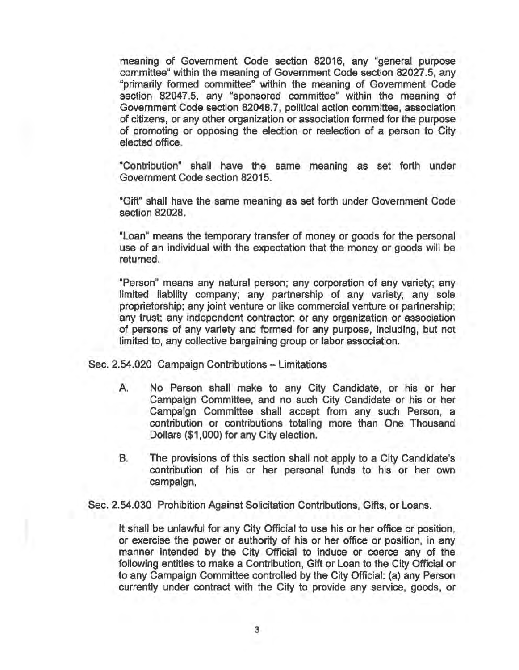meaning of Government Code section 82016, any "general purpose committee" within the meaning of Government Code section 82027.5, any "primarily formed committee" within the meaning of Government Code section 82047.5, any "sponsored committee" within the meaning of Government Code section 82048.7, political action committee, association of citizens, or any other organization or association formed for the purpose of promoting or opposing the election or reelection of a person to City elected office.

"Contribution" shall have the same meaning as set forth under Government Code section 82015.

"Gift" shall have the same meaning as set forth under Government Code section 82028.

"Loan" means the temporary transfer of money or goods for the personal use of an individual with the expectation that the money or goods will be returned.

"Person" means any natural person; any corporation of any variety; any limited liability company; any partnership of any variety; any sole proprietorship; any joint venture or like commercial venture or partnership; any trust; any independent contractor; or any organization or association of persons of any variety and formed for any purpose, including, but not limited to, any collective bargaining group or labor association.

Sec. 2.54.020 Campaign Contributions - Limitations

- A. No Person shall make to any City Candidate, or his or her Campaign Committee, and no such City Candidate or his or her Campaign Committee shall accept from any such Person, a contribution or contributions totaling more than One Thousand Dollars (\$1 ,000) for any City election.
- B. The provisions of this section shall not apply to a City Candidate's contribution of his or her personal funds to his or her own campaign,

Sec. 2.54.030 Prohibition Against Solicitation Contributions, Gifts, or Loans.

It shall be unlawful for any City Official to use his or her office or position, or exercise the power or authority of his or her office or position, in any manner intended by the City Official to induce or coerce any of the following entities to make a Contribution, Gift or Loan to the City Official or to any Campaign Committee controlled by the City Official: (a) any Person currently under contract with the City to provide any service, goods, or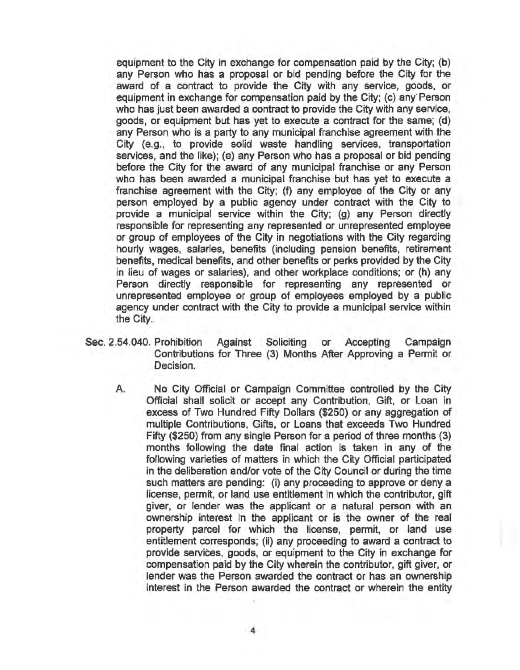equipment to the City in exchange for compensation paid by the City; (b) any Person who has a proposal or bid pending before the City for the award of a contract to provide the City with any service, goods, or equipment in exchange for compensation paid by the City; (c) any Person who has just been awarded a contract to provide the City with any service, goods, or equipment but has yet to execute a contract for the same; (d) any Person who is a party to any municipal franchise agreement with the City (e.g., to provide solid waste handling services, transportation services, and the like); (e) any Person who has a proposal or bid pending before the City for the award of any municipal franchise or any Person who has been awarded a municipal franchise but has yet to execute a franchise agreement with the City; (f) any employee of the City or any person employed by a public agency under contract with the City to provide a municipal service within the City; (g) any Person directly responsible for representing any represented or unrepresented employee or group of employees of the City in negotiations with the City regarding hourly wages, salaries, benefits (including pension benefits, retirement benefits, medical benefits, and other benefits or perks provided by the City in lieu of wages or salaries), and other workplace conditions; or (h) any Person directly responsible for representing any represented or unrepresented employee or group of employees employed by a public agency under contract with the City to provide a municipal service within the City.

- Sec. 2.54.040. Prohibition Against Soliciting or Accepting Campaign Contributions for Three (3) Months After Approving a Permit or Decision.
	- A. No City Official or Campaign Committee controlled by the City Official shall solicit or accept any Contribution, Gift, or Loan in excess of Two Hundred Fifty Dollars (\$250) or any aggregation of multiple Contributions, Gifts, or Loans that exceeds Two Hundred Fifty (\$250) from any single Person for a period of three months (3) months following the date final action is taken in any of the following varieties of matters in which the City Official participated in the deliberation and/or vote of the City Council or during the time such matters are pending: (i) any proceeding to approve or deny a license, permit, or land use entitlement in which the contributor, gift giver, or lender was the applicant or a natural person with an ownership interest in the applicant or is the owner of the real property parcel for which the license, permit, or land use entitlement corresponds; (ii) any proceeding to award a contract to provide services, goods, or equipment to the City in exchange for compensation paid by the City wherein the contributor, gift giver, or lender was the Person awarded the contract or has an ownership interest in the Person awarded the contract or wherein the entity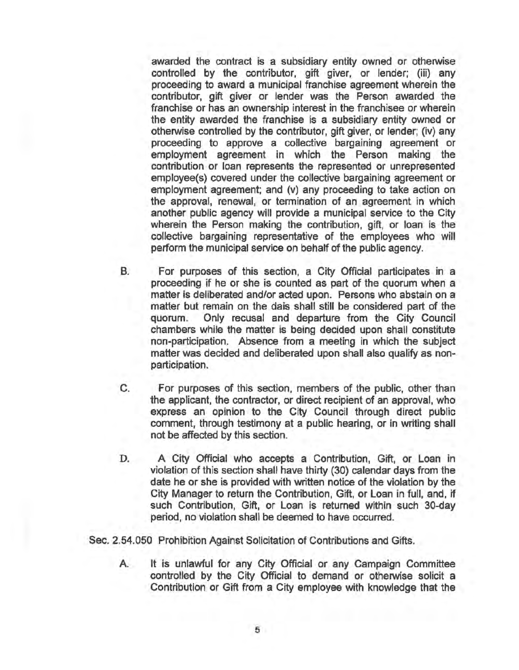awarded the contract is a subsidiary entity owned or otherwise controlled by the contributor, gift giver, or lender; (iii) any proceeding to award a municipal franchise agreement wherein the contributor, gift giver or lender was the Person awarded the franchise or has an ownership interest in the franchisee or wherein the entity awarded the franchise is a subsidiary entity owned or otherwise controlled by the contributor, gift giver, or lender; (iv) any proceeding to approve a collective bargaining agreement or employment agreement in which the Person making the contribution or loan represents the represented or unrepresented employee(s) covered under the collective bargaining agreement or employment agreement; and (v) any proceeding to take action on the approval, renewal, or termination of an agreement in which another public agency will provide a municipal service to the City wherein the Person making the contribution, gift, or loan is the collective bargaining representative of the employees who will perform the municipal service on behalf of the public agency.

- B. For purposes of this section, a City Official participates in a proceeding if he or she is counted as part of the quorum when a matter is deliberated and/or acted upon. Persons who abstain on a matter but remain on the dais shall still be considered part of the quorum. Only recusal and departure from the City Council chambers while the matter is being decided upon shall constitute non-participation. Absence from a meeting in which the subject matter was decided and deliberated upon shall also qualify as nonparticipation.
- C. For purposes of this section, members of the public, other than the applicant, the contractor, or direct recipient of an approval, who express an opinion to the City Council through direct public comment, through testimony at a public hearing, or in writing shall not be affected by this section.
- D. A City Official who accepts a Contribution, Gift, or Loan in violation of this section shall have thirty (30) calendar days from the date he or she is provided with written notice of the violation by the City Manager to return the Contribution, Gift, or Loan in full, and, if such Contribution, Gift, or Loan is returned within such 30-day period, no violation shall be deemed to have occurred.

Sec. 2.54.050 Prohibition Against Solicitation of Contributions and Gifts.

A. It is unlawful for any City Official or any Campaign Committee controlled by the City Official to demand or otherwise solicit a Contribution or Gift from a City employee with knowledge that the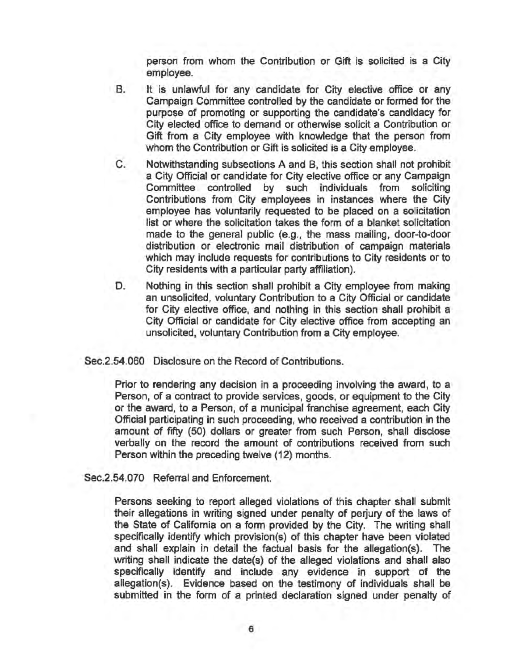person from whom the Contribution or Gift is solicited is a City employee.

- B. It is unlawful for any candidate for City elective office or any Campaign Committee controlled by the candidate or formed for the purpose of promoting or supporting the candidate's candidacy for City elected office to demand or otherwise solicit a Contribution or Gift from a City employee with knowledge that the person from whom the Contribution or Gift is solicited is a City employee.
- C. Notwithstanding subsections A and B, this section shall not prohibit a City Official or candidate for City elective office or any Campaign Committee controlled by such individuals from soliciting Contributions from City employees in instances where the City employee has voluntarily requested to be placed on a solicitation list or where the solicitation takes the form of a blanket solicitation made to the general public (e.g., the mass mailing, door-to-door distribution or electronic mail distribution of campaign materials which may include requests for contributions to City residents or to City residents with a particular party affiliation).
- D. Nothing in this section shall prohibit a City employee from making an unsolicited, voluntary Contribution to a City Official or candidate for City elective office, and nothing in this section shall prohibit a City Official or candidate for City elective office from accepting an unsolicited, voluntary Contribution from a City employee.

Sec.2.54.060 Disclosure on the Record of Contributions.

Prior to rendering any decision in a proceeding involving the award, to a Person, of a contract to provide services, goods, or equipment to the City or the award, to a Person, of a municipal franchise agreement, each City Official participating in such proceeding, who received a contribution in the amount of fifty (50) dollars or greater from such Person, shall disclose verbally on the record the amount of contributions received from such Person within the preceding twelve (12) months.

Sec.2.54.070 Referral and Enforcement.

Persons seeking to report alleged violations of this chapter shall submit their allegations in writing signed under penalty of perjury of the laws of the State of California on a form provided by the City. The writing shall specifically identify which provision(s) of this chapter have been violated and shall explain in detail the factual basis for the allegation(s). The writing shall indicate the date(s) of the alleged violations and shall also specifically identify and include any evidence in support of the allegation(s). Evidence based on the testimony of individuals shall be submitted in the form of a printed declaration signed under penalty of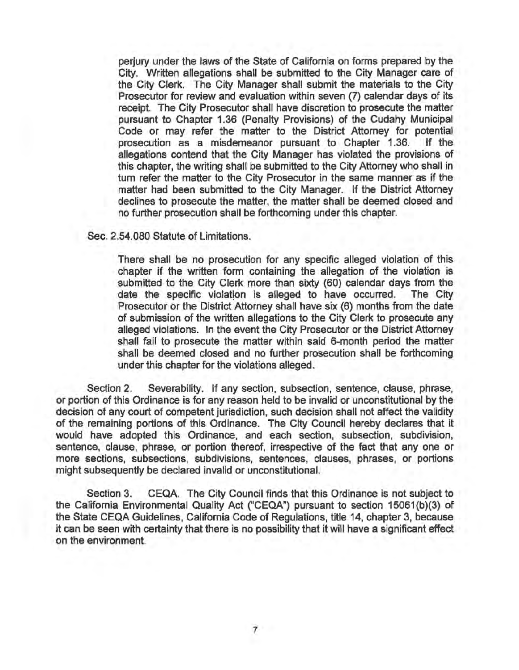perjury under the laws of the State of California on forms prepared by the City. Written allegations shall be submitted to the City Manager care of the City Clerk. The City Manager shall submit the materials to the City Prosecutor for review and evaluation within seven (7) calendar days of its receipt. The City Prosecutor shall have discretion to prosecute the matter pursuant to Chapter 1.36 (Penalty Provisions) of the Cudahy Municipal Code or may refer the matter to the District Attorney for potential prosecution as a misdemeanor pursuant to Chapter 1.36. If the allegations contend that the City Manager has violated the provisions of this chapter, the writing shall be submitted to the City Attorney who shall in tum refer the matter to the City Prosecutor in the same manner as if the matter had been submitted to the City Manager. If the District Attorney declines to prosecute the matter, the matter shall be deemed closed and no further prosecution shall be forthcoming under this chapter.

Sec. 2.54.080 Statute of Limitations.

There shall be no prosecution for any specific alleged violation of this chapter if the written form containing the allegation of the violation is submitted to the City Clerk more than sixty (60) calendar days from the date the specific violation is alleged to have occurred. The City Prosecutor or the District Attorney shall have six (6) months from the date of submission of the written allegations to the City Clerk to prosecute any alleged violations. In the event the City Prosecutor or the District Attorney shall fail to prosecute the matter within said 6-month period the matter shall be deemed closed and no further prosecution shall be forthcoming under this chapter for the violations alleged.

Section 2. Severability. If any section, subsection, sentence, clause, phrase, or portion of this Ordinance is for any reason held to be invalid or unconstitutional by the decision of any court of competent jurisdiction, such decision shall not affect the validity of the remaining portions of this Ordinance. The City Council hereby declares that it would have adopted this Ordinance, and each section, subsection, subdivision, sentence, clause, phrase, or portion thereof, irrespective of the fact that anyone or more sections, subsections, subdivisions, sentences, clauses, phrases, or portions might subsequently be declared invalid or unconstitutional.

Section 3. CEQA. The City Council finds that this Ordinance is not subject to the California Environmental Quality Act ("CEQA") pursuant to section 15061(b)(3) of the State CEQA Guidelines, California Code of Regulations, title 14, chapter 3, because it can be seen with certainty that there is no possibility that it will have a significant effect on the environment.